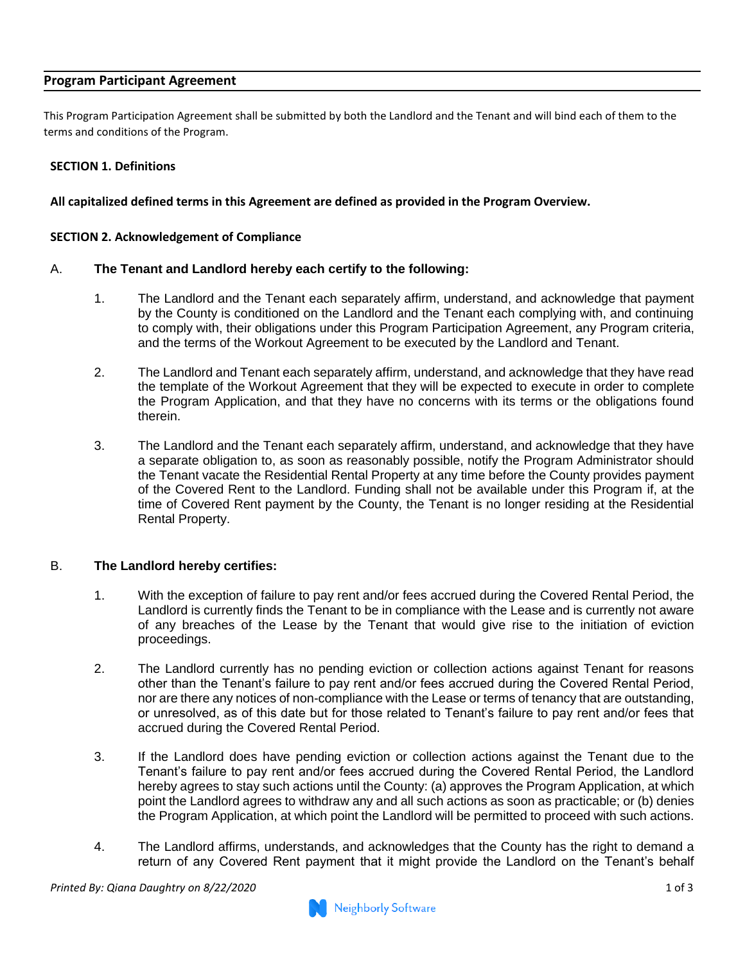## **Program Participant Agreement**

This Program Participation Agreement shall be submitted by both the Landlord and the Tenant and will bind each of them to the terms and conditions of the Program.

## **SECTION 1. Definitions**

**All capitalized defined terms in this Agreement are defined as provided in the Program Overview.** 

#### **SECTION 2. Acknowledgement of Compliance**

#### A. **The Tenant and Landlord hereby each certify to the following:**

- 1. The Landlord and the Tenant each separately affirm, understand, and acknowledge that payment by the County is conditioned on the Landlord and the Tenant each complying with, and continuing to comply with, their obligations under this Program Participation Agreement, any Program criteria, and the terms of the Workout Agreement to be executed by the Landlord and Tenant.
- 2. The Landlord and Tenant each separately affirm, understand, and acknowledge that they have read the template of the Workout Agreement that they will be expected to execute in order to complete the Program Application, and that they have no concerns with its terms or the obligations found therein.
- 3. The Landlord and the Tenant each separately affirm, understand, and acknowledge that they have a separate obligation to, as soon as reasonably possible, notify the Program Administrator should the Tenant vacate the Residential Rental Property at any time before the County provides payment of the Covered Rent to the Landlord. Funding shall not be available under this Program if, at the time of Covered Rent payment by the County, the Tenant is no longer residing at the Residential Rental Property.

#### B. **The Landlord hereby certifies:**

- 1. With the exception of failure to pay rent and/or fees accrued during the Covered Rental Period, the Landlord is currently finds the Tenant to be in compliance with the Lease and is currently not aware of any breaches of the Lease by the Tenant that would give rise to the initiation of eviction proceedings.
- 2. The Landlord currently has no pending eviction or collection actions against Tenant for reasons other than the Tenant's failure to pay rent and/or fees accrued during the Covered Rental Period, nor are there any notices of non-compliance with the Lease or terms of tenancy that are outstanding, or unresolved, as of this date but for those related to Tenant's failure to pay rent and/or fees that accrued during the Covered Rental Period.
- 3. If the Landlord does have pending eviction or collection actions against the Tenant due to the Tenant's failure to pay rent and/or fees accrued during the Covered Rental Period, the Landlord hereby agrees to stay such actions until the County: (a) approves the Program Application, at which point the Landlord agrees to withdraw any and all such actions as soon as practicable; or (b) denies the Program Application, at which point the Landlord will be permitted to proceed with such actions.
- 4. The Landlord affirms, understands, and acknowledges that the County has the right to demand a return of any Covered Rent payment that it might provide the Landlord on the Tenant's behalf

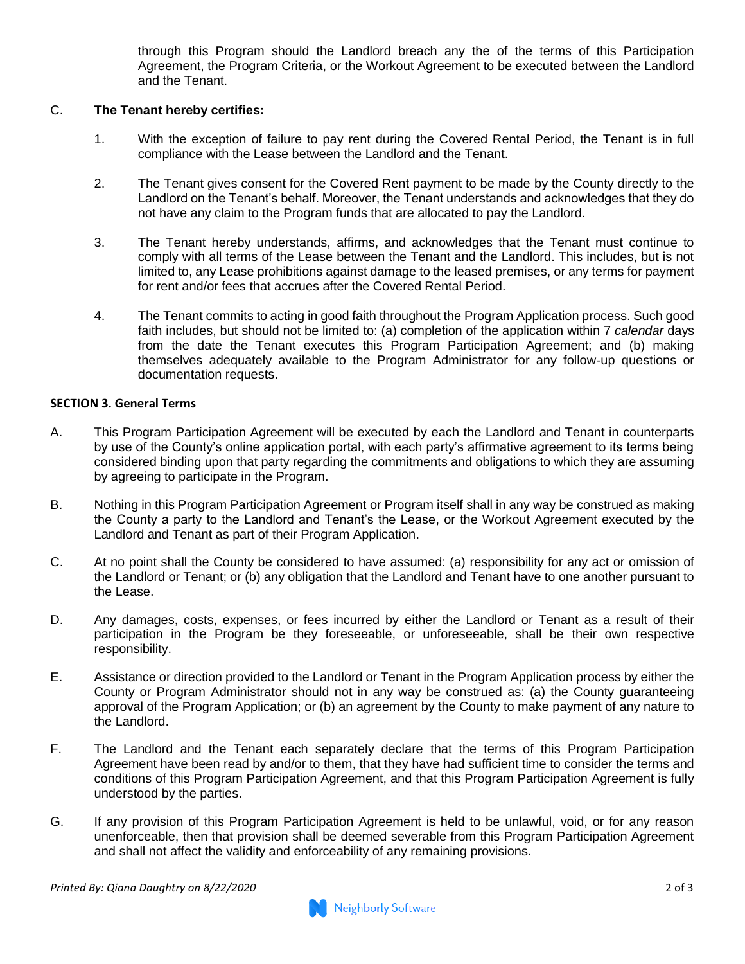through this Program should the Landlord breach any the of the terms of this Participation Agreement, the Program Criteria, or the Workout Agreement to be executed between the Landlord and the Tenant.

# C. **The Tenant hereby certifies:**

- 1. With the exception of failure to pay rent during the Covered Rental Period, the Tenant is in full compliance with the Lease between the Landlord and the Tenant.
- 2. The Tenant gives consent for the Covered Rent payment to be made by the County directly to the Landlord on the Tenant's behalf. Moreover, the Tenant understands and acknowledges that they do not have any claim to the Program funds that are allocated to pay the Landlord.
- 3. The Tenant hereby understands, affirms, and acknowledges that the Tenant must continue to comply with all terms of the Lease between the Tenant and the Landlord. This includes, but is not limited to, any Lease prohibitions against damage to the leased premises, or any terms for payment for rent and/or fees that accrues after the Covered Rental Period.
- 4. The Tenant commits to acting in good faith throughout the Program Application process. Such good faith includes, but should not be limited to: (a) completion of the application within 7 *calendar* days from the date the Tenant executes this Program Participation Agreement; and (b) making themselves adequately available to the Program Administrator for any follow-up questions or documentation requests.

## **SECTION 3. General Terms**

- A. This Program Participation Agreement will be executed by each the Landlord and Tenant in counterparts by use of the County's online application portal, with each party's affirmative agreement to its terms being considered binding upon that party regarding the commitments and obligations to which they are assuming by agreeing to participate in the Program.
- B. Nothing in this Program Participation Agreement or Program itself shall in any way be construed as making the County a party to the Landlord and Tenant's the Lease, or the Workout Agreement executed by the Landlord and Tenant as part of their Program Application.
- C. At no point shall the County be considered to have assumed: (a) responsibility for any act or omission of the Landlord or Tenant; or (b) any obligation that the Landlord and Tenant have to one another pursuant to the Lease.
- D. Any damages, costs, expenses, or fees incurred by either the Landlord or Tenant as a result of their participation in the Program be they foreseeable, or unforeseeable, shall be their own respective responsibility.
- E. Assistance or direction provided to the Landlord or Tenant in the Program Application process by either the County or Program Administrator should not in any way be construed as: (a) the County guaranteeing approval of the Program Application; or (b) an agreement by the County to make payment of any nature to the Landlord.
- F. The Landlord and the Tenant each separately declare that the terms of this Program Participation Agreement have been read by and/or to them, that they have had sufficient time to consider the terms and conditions of this Program Participation Agreement, and that this Program Participation Agreement is fully understood by the parties.
- G. If any provision of this Program Participation Agreement is held to be unlawful, void, or for any reason unenforceable, then that provision shall be deemed severable from this Program Participation Agreement and shall not affect the validity and enforceability of any remaining provisions.